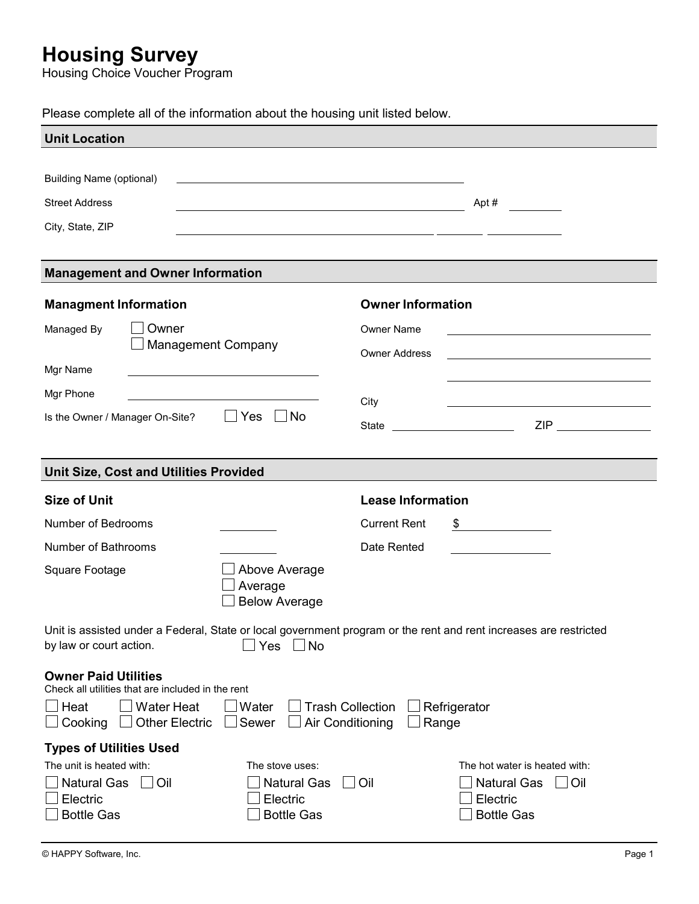## Housing Survey

Housing Choice Voucher Program

Please complete all of the information about the housing unit listed below.

| <b>Unit Location</b>                                                                                                                              |                                                               |                                |                                                                                                                                                                                                                                      |  |
|---------------------------------------------------------------------------------------------------------------------------------------------------|---------------------------------------------------------------|--------------------------------|--------------------------------------------------------------------------------------------------------------------------------------------------------------------------------------------------------------------------------------|--|
|                                                                                                                                                   |                                                               |                                |                                                                                                                                                                                                                                      |  |
| <b>Building Name (optional)</b>                                                                                                                   | <u> 1989 - Johann Stoff, amerikansk politiker (d. 1989)</u>   |                                |                                                                                                                                                                                                                                      |  |
| <b>Street Address</b>                                                                                                                             | <u> 1989 - Johann Barn, mars et al. (b. 1989)</u>             |                                | Apt #                                                                                                                                                                                                                                |  |
| City, State, ZIP                                                                                                                                  | <u> 1989 - Johann Stein, mars an deutscher Stein († 1958)</u> |                                |                                                                                                                                                                                                                                      |  |
|                                                                                                                                                   |                                                               |                                |                                                                                                                                                                                                                                      |  |
| <b>Management and Owner Information</b>                                                                                                           |                                                               |                                |                                                                                                                                                                                                                                      |  |
| <b>Managment Information</b>                                                                                                                      |                                                               | <b>Owner Information</b>       |                                                                                                                                                                                                                                      |  |
| Owner<br>Managed By                                                                                                                               |                                                               | <b>Owner Name</b>              |                                                                                                                                                                                                                                      |  |
| <b>Management Company</b>                                                                                                                         |                                                               | <b>Owner Address</b>           |                                                                                                                                                                                                                                      |  |
| Mgr Name                                                                                                                                          |                                                               |                                |                                                                                                                                                                                                                                      |  |
| Mgr Phone                                                                                                                                         |                                                               | City                           | <u>and the contract of the contract of the contract of the contract of the contract of the contract of the contract of the contract of the contract of the contract of the contract of the contract of the contract of the contr</u> |  |
| Is the Owner / Manager On-Site?                                                                                                                   | $\Box$ No<br>$\Box$ Yes                                       | State ________________________ | ZIP _______________                                                                                                                                                                                                                  |  |
|                                                                                                                                                   |                                                               |                                |                                                                                                                                                                                                                                      |  |
| <b>Unit Size, Cost and Utilities Provided</b>                                                                                                     |                                                               |                                |                                                                                                                                                                                                                                      |  |
| <b>Size of Unit</b>                                                                                                                               |                                                               | <b>Lease Information</b>       |                                                                                                                                                                                                                                      |  |
| Number of Bedrooms                                                                                                                                | <b>Contract Contract Contract</b>                             | <b>Current Rent</b>            | $\frac{\text{I}}{\text{I}}$                                                                                                                                                                                                          |  |
| Number of Bathrooms                                                                                                                               |                                                               | Date Rented                    | $\mathcal{L}^{\mathcal{L}}(\mathcal{L}^{\mathcal{L}})$ and $\mathcal{L}^{\mathcal{L}}(\mathcal{L}^{\mathcal{L}})$ . The contract of the set of $\mathcal{L}^{\mathcal{L}}$                                                           |  |
| Square Footage                                                                                                                                    | Above Average<br>Average<br><b>Below Average</b>              |                                |                                                                                                                                                                                                                                      |  |
| Unit is assisted under a Federal, State or local government program or the rent and rent increases are restricted<br>by law or court action.      | Yes $\Box$ No                                                 |                                |                                                                                                                                                                                                                                      |  |
| <b>Owner Paid Utilities</b><br>Check all utilities that are included in the rent<br>Heat<br><b>Water Heat</b><br>Cooking<br><b>Other Electric</b> | Water<br><b>Trash Collection</b><br>Sewer<br>Air Conditioning | Range                          | Refrigerator                                                                                                                                                                                                                         |  |
| <b>Types of Utilities Used</b>                                                                                                                    |                                                               |                                |                                                                                                                                                                                                                                      |  |
| The unit is heated with:                                                                                                                          | The stove uses:                                               |                                | The hot water is heated with:                                                                                                                                                                                                        |  |
| <b>Natural Gas</b><br><b>Oil</b><br>Electric                                                                                                      | <b>Natural Gas</b><br>Electric                                | Oil                            | <b>Natural Gas</b><br>Oil<br>Electric                                                                                                                                                                                                |  |
| <b>Bottle Gas</b>                                                                                                                                 | <b>Bottle Gas</b>                                             |                                | <b>Bottle Gas</b>                                                                                                                                                                                                                    |  |